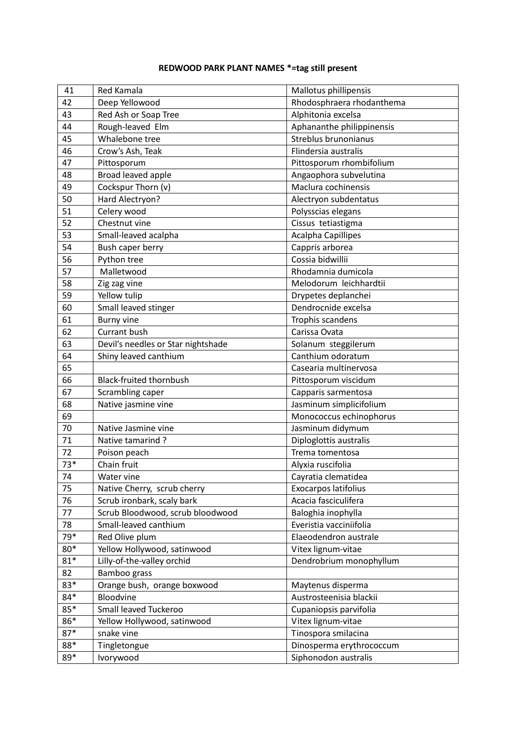## **REDWOOD PARK PLANT NAMES \*=tag still present**

| 41    | Red Kamala                         | Mallotus phillipensis     |
|-------|------------------------------------|---------------------------|
| 42    | Deep Yellowood                     | Rhodosphraera rhodanthema |
| 43    | Red Ash or Soap Tree               | Alphitonia excelsa        |
| 44    | Rough-leaved Elm                   | Aphananthe philippinensis |
| 45    | Whalebone tree                     | Streblus brunonianus      |
| 46    | Crow's Ash, Teak                   | Flindersia australis      |
| 47    | Pittosporum                        | Pittosporum rhombifolium  |
| 48    | Broad leaved apple                 | Angaophora subvelutina    |
| 49    | Cockspur Thorn (v)                 | Maclura cochinensis       |
| 50    | Hard Alectryon?                    | Alectryon subdentatus     |
| 51    | Celery wood                        | Polysscias elegans        |
| 52    | Chestnut vine                      | Cissus tetiastigma        |
| 53    | Small-leaved acalpha               | <b>Acalpha Capillipes</b> |
| 54    | Bush caper berry                   | Cappris arborea           |
| 56    | Python tree                        | Cossia bidwillii          |
| 57    | Malletwood                         | Rhodamnia dumicola        |
| 58    | Zig zag vine                       | Melodorum leichhardtii    |
| 59    | Yellow tulip                       | Drypetes deplanchei       |
| 60    | Small leaved stinger               | Dendrocnide excelsa       |
| 61    | <b>Burny vine</b>                  | Trophis scandens          |
| 62    | <b>Currant bush</b>                | Carissa Ovata             |
| 63    | Devil's needles or Star nightshade | Solanum steggilerum       |
| 64    | Shiny leaved canthium              | Canthium odoratum         |
| 65    |                                    | Casearia multinervosa     |
| 66    | <b>Black-fruited thornbush</b>     | Pittosporum viscidum      |
| 67    | Scrambling caper                   | Capparis sarmentosa       |
| 68    | Native jasmine vine                | Jasminum simplicifolium   |
| 69    |                                    | Monococcus echinophorus   |
| 70    | Native Jasmine vine                | Jasminum didymum          |
| 71    | Native tamarind?                   | Diploglottis australis    |
| 72    | Poison peach                       | Trema tomentosa           |
| $73*$ | Chain fruit                        | Alyxia ruscifolia         |
| 74    | Water vine                         | Cayratia clematidea       |
| 75    | Native Cherry, scrub cherry        | Exocarpos latifolius      |
| 76    | Scrub ironbark, scaly bark         | Acacia fasciculifera      |
| 77    | Scrub Bloodwood, scrub bloodwood   | Baloghia inophylla        |
| 78    | Small-leaved canthium              | Everistia vacciniifolia   |
| 79*   | Red Olive plum                     | Elaeodendron australe     |
| 80*   | Yellow Hollywood, satinwood        | Vitex lignum-vitae        |
| $81*$ | Lilly-of-the-valley orchid         | Dendrobrium monophyllum   |
| 82    | Bamboo grass                       |                           |
| 83*   | Orange bush, orange boxwood        | Maytenus disperma         |
| $84*$ | Bloodvine                          | Austrosteenisia blackii   |
| $85*$ | Small leaved Tuckeroo              | Cupaniopsis parvifolia    |
| 86*   | Yellow Hollywood, satinwood        | Vitex lignum-vitae        |
| $87*$ | snake vine                         | Tinospora smilacina       |
| 88*   | Tingletongue                       | Dinosperma erythrococcum  |
| 89*   | Ivorywood                          | Siphonodon australis      |